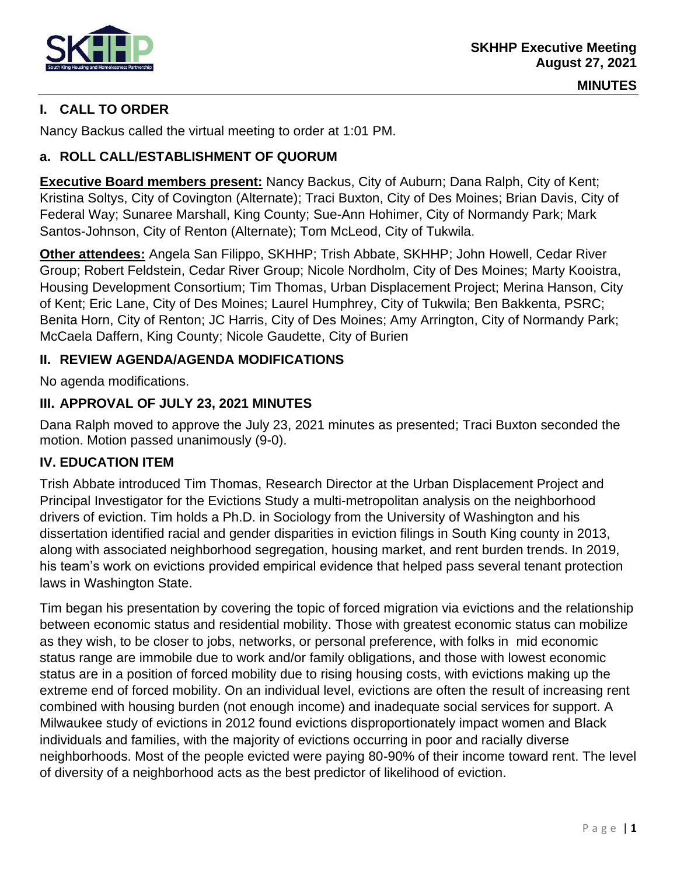

**MINUTES**

### **I. CALL TO ORDER**

Nancy Backus called the virtual meeting to order at 1:01 PM.

#### **a. ROLL CALL/ESTABLISHMENT OF QUORUM**

**Executive Board members present:** Nancy Backus, City of Auburn; Dana Ralph, City of Kent; Kristina Soltys, City of Covington (Alternate); Traci Buxton, City of Des Moines; Brian Davis, City of Federal Way; Sunaree Marshall, King County; Sue-Ann Hohimer, City of Normandy Park; Mark Santos-Johnson, City of Renton (Alternate); Tom McLeod, City of Tukwila.

**Other attendees:** Angela San Filippo, SKHHP; Trish Abbate, SKHHP; John Howell, Cedar River Group; Robert Feldstein, Cedar River Group; Nicole Nordholm, City of Des Moines; Marty Kooistra, Housing Development Consortium; Tim Thomas, Urban Displacement Project; Merina Hanson, City of Kent; Eric Lane, City of Des Moines; Laurel Humphrey, City of Tukwila; Ben Bakkenta, PSRC; Benita Horn, City of Renton; JC Harris, City of Des Moines; Amy Arrington, City of Normandy Park; McCaela Daffern, King County; Nicole Gaudette, City of Burien

#### **II. REVIEW AGENDA/AGENDA MODIFICATIONS**

No agenda modifications.

#### **III. APPROVAL OF JULY 23, 2021 MINUTES**

Dana Ralph moved to approve the July 23, 2021 minutes as presented; Traci Buxton seconded the motion. Motion passed unanimously (9-0).

#### **IV. EDUCATION ITEM**

Trish Abbate introduced Tim Thomas, Research Director at the [Urban Displacement Project](https://www.urbandisplacement.org/) and Principal Investigator for the Evictions Study a multi-metropolitan analysis on the neighborhood drivers of eviction. Tim holds a Ph.D. in Sociology from the University of Washington and his dissertation identified racial and gender disparities in eviction filings in South King county in 2013, along with associated neighborhood segregation, housing market, and rent burden trends. In 2019, his team's work on evictions provided empirical evidence that helped pass several tenant protection laws in Washington State.

Tim began his presentation by covering the topic of forced migration via evictions and the relationship between economic status and residential mobility. Those with greatest economic status can mobilize as they wish, to be closer to jobs, networks, or personal preference, with folks in mid economic status range are immobile due to work and/or family obligations, and those with lowest economic status are in a position of forced mobility due to rising housing costs, with evictions making up the extreme end of forced mobility. On an individual level, evictions are often the result of increasing rent combined with housing burden (not enough income) and inadequate social services for support. A Milwaukee study of evictions in 2012 found evictions disproportionately impact women and Black individuals and families, with the majority of evictions occurring in poor and racially diverse neighborhoods. Most of the people evicted were paying 80-90% of their income toward rent. The level of diversity of a neighborhood acts as the best predictor of likelihood of eviction.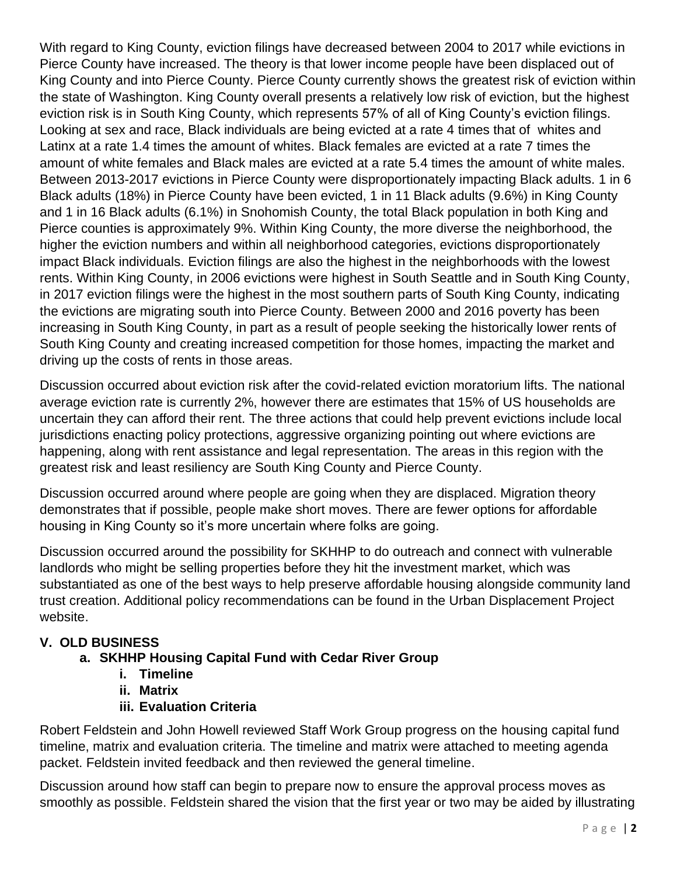With regard to King County, eviction filings have decreased between 2004 to 2017 while evictions in Pierce County have increased. The theory is that lower income people have been displaced out of King County and into Pierce County. Pierce County currently shows the greatest risk of eviction within the state of Washington. King County overall presents a relatively low risk of eviction, but the highest eviction risk is in South King County, which represents 57% of all of King County's eviction filings. Looking at sex and race, Black individuals are being evicted at a rate 4 times that of whites and Latinx at a rate 1.4 times the amount of whites. Black females are evicted at a rate 7 times the amount of white females and Black males are evicted at a rate 5.4 times the amount of white males. Between 2013-2017 evictions in Pierce County were disproportionately impacting Black adults. 1 in 6 Black adults (18%) in Pierce County have been evicted, 1 in 11 Black adults (9.6%) in King County and 1 in 16 Black adults (6.1%) in Snohomish County, the total Black population in both King and Pierce counties is approximately 9%. Within King County, the more diverse the neighborhood, the higher the eviction numbers and within all neighborhood categories, evictions disproportionately impact Black individuals. Eviction filings are also the highest in the neighborhoods with the lowest rents. Within King County, in 2006 evictions were highest in South Seattle and in South King County, in 2017 eviction filings were the highest in the most southern parts of South King County, indicating the evictions are migrating south into Pierce County. Between 2000 and 2016 poverty has been increasing in South King County, in part as a result of people seeking the historically lower rents of South King County and creating increased competition for those homes, impacting the market and driving up the costs of rents in those areas.

Discussion occurred about eviction risk after the covid-related eviction moratorium lifts. The national average eviction rate is currently 2%, however there are estimates that 15% of US households are uncertain they can afford their rent. The three actions that could help prevent evictions include local jurisdictions enacting policy protections, aggressive organizing pointing out where evictions are happening, along with rent assistance and legal representation. The areas in this region with the greatest risk and least resiliency are South King County and Pierce County.

Discussion occurred around where people are going when they are displaced. Migration theory demonstrates that if possible, people make short moves. There are fewer options for affordable housing in King County so it's more uncertain where folks are going.

Discussion occurred around the possibility for SKHHP to do outreach and connect with vulnerable landlords who might be selling properties before they hit the investment market, which was substantiated as one of the best ways to help preserve affordable housing alongside community land trust creation. Additional policy recommendations can be found in the Urban Displacement Project website.

# **V. OLD BUSINESS**

# **a. SKHHP Housing Capital Fund with Cedar River Group**

- **i. Timeline**
- **ii. Matrix**
- **iii. Evaluation Criteria**

Robert Feldstein and John Howell reviewed Staff Work Group progress on the housing capital fund timeline, matrix and evaluation criteria. The timeline and matrix were attached to meeting agenda packet. Feldstein invited feedback and then reviewed the general timeline.

Discussion around how staff can begin to prepare now to ensure the approval process moves as smoothly as possible. Feldstein shared the vision that the first year or two may be aided by illustrating